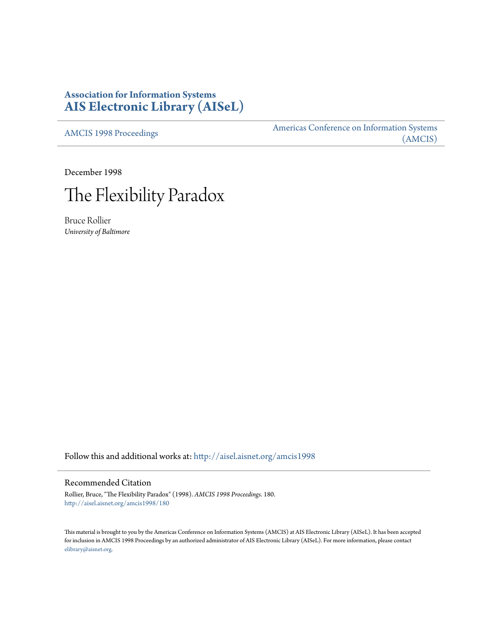# **Association for Information Systems [AIS Electronic Library \(AISeL\)](http://aisel.aisnet.org?utm_source=aisel.aisnet.org%2Famcis1998%2F180&utm_medium=PDF&utm_campaign=PDFCoverPages)**

[AMCIS 1998 Proceedings](http://aisel.aisnet.org/amcis1998?utm_source=aisel.aisnet.org%2Famcis1998%2F180&utm_medium=PDF&utm_campaign=PDFCoverPages)

[Americas Conference on Information Systems](http://aisel.aisnet.org/amcis?utm_source=aisel.aisnet.org%2Famcis1998%2F180&utm_medium=PDF&utm_campaign=PDFCoverPages) [\(AMCIS\)](http://aisel.aisnet.org/amcis?utm_source=aisel.aisnet.org%2Famcis1998%2F180&utm_medium=PDF&utm_campaign=PDFCoverPages)

December 1998



Bruce Rollier *University of Baltimore*

Follow this and additional works at: [http://aisel.aisnet.org/amcis1998](http://aisel.aisnet.org/amcis1998?utm_source=aisel.aisnet.org%2Famcis1998%2F180&utm_medium=PDF&utm_campaign=PDFCoverPages)

### Recommended Citation

Rollier, Bruce, "The Flexibility Paradox" (1998). *AMCIS 1998 Proceedings*. 180. [http://aisel.aisnet.org/amcis1998/180](http://aisel.aisnet.org/amcis1998/180?utm_source=aisel.aisnet.org%2Famcis1998%2F180&utm_medium=PDF&utm_campaign=PDFCoverPages)

This material is brought to you by the Americas Conference on Information Systems (AMCIS) at AIS Electronic Library (AISeL). It has been accepted for inclusion in AMCIS 1998 Proceedings by an authorized administrator of AIS Electronic Library (AISeL). For more information, please contact [elibrary@aisnet.org.](mailto:elibrary@aisnet.org%3E)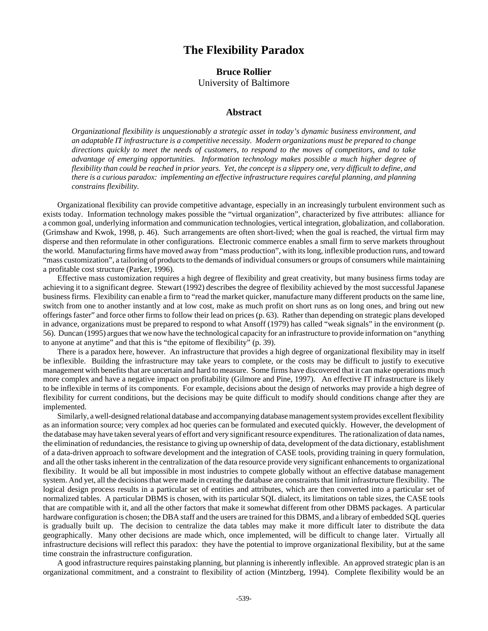## **The Flexibility Paradox**

## **Bruce Rollier** University of Baltimore

#### **Abstract**

*Organizational flexibility is unquestionably a strategic asset in today's dynamic business environment, and an adaptable IT infrastructure is a competitive necessity. Modern organizations must be prepared to change directions quickly to meet the needs of customers, to respond to the moves of competitors, and to take advantage of emerging opportunities. Information technology makes possible a much higher degree of flexibility than could be reached in prior years. Yet, the concept is a slippery one, very difficult to define, and there is a curious paradox: implementing an effective infrastructure requires careful planning, and planning constrains flexibility.*

Organizational flexibility can provide competitive advantage, especially in an increasingly turbulent environment such as exists today. Information technology makes possible the "virtual organization", characterized by five attributes: alliance for a common goal, underlying information and communication technologies, vertical integration, globalization, and collaboration. (Grimshaw and Kwok, 1998, p. 46). Such arrangements are often short-lived; when the goal is reached, the virtual firm may disperse and then reformulate in other configurations. Electronic commerce enables a small firm to serve markets throughout the world. Manufacturing firms have moved away from "mass production", with its long, inflexible production runs, and toward "mass customization", a tailoring of products to the demands of individual consumers or groups of consumers while maintaining a profitable cost structure (Parker, 1996).

Effective mass customization requires a high degree of flexibility and great creativity, but many business firms today are achieving it to a significant degree. Stewart (1992) describes the degree of flexibility achieved by the most successful Japanese business firms. Flexibility can enable a firm to "read the market quicker, manufacture many different products on the same line, switch from one to another instantly and at low cost, make as much profit on short runs as on long ones, and bring out new offerings faster" and force other firms to follow their lead on prices (p. 63). Rather than depending on strategic plans developed in advance, organizations must be prepared to respond to what Ansoff (1979) has called "weak signals" in the environment (p. 56). Duncan (1995) argues that we now have the technological capacity for an infrastructure to provide information on "anything to anyone at anytime" and that this is "the epitome of flexibility" (p. 39).

There is a paradox here, however. An infrastructure that provides a high degree of organizational flexibility may in itself be inflexible. Building the infrastructure may take years to complete, or the costs may be difficult to justify to executive management with benefits that are uncertain and hard to measure. Some firms have discovered that it can make operations much more complex and have a negative impact on profitability (Gilmore and Pine, 1997). An effective IT infrastructure is likely to be inflexible in terms of its components. For example, decisions about the design of networks may provide a high degree of flexibility for current conditions, but the decisions may be quite difficult to modify should conditions change after they are implemented.

Similarly, a well-designed relational database and accompanying database management system provides excellent flexibility as an information source; very complex ad hoc queries can be formulated and executed quickly. However, the development of the database may have taken several years of effort and very significant resource expenditures. The rationalization of data names, the elimination of redundancies, the resistance to giving up ownership of data, development of the data dictionary, establishment of a data-driven approach to software development and the integration of CASE tools, providing training in query formulation, and all the other tasks inherent in the centralization of the data resource provide very significant enhancements to organizational flexibility. It would be all but impossible in most industries to compete globally without an effective database management system. And yet, all the decisions that were made in creating the database are constraints that limit infrastructure flexibility. The logical design process results in a particular set of entities and attributes, which are then converted into a particular set of normalized tables. A particular DBMS is chosen, with its particular SQL dialect, its limitations on table sizes, the CASE tools that are compatible with it, and all the other factors that make it somewhat different from other DBMS packages. A particular hardware configuration is chosen; the DBA staff and the users are trained for this DBMS, and a library of embedded SQL queries is gradually built up. The decision to centralize the data tables may make it more difficult later to distribute the data geographically. Many other decisions are made which, once implemented, will be difficult to change later. Virtually all infrastructure decisions will reflect this paradox: they have the potential to improve organizational flexibility, but at the same time constrain the infrastructure configuration.

A good infrastructure requires painstaking planning, but planning is inherently inflexible. An approved strategic plan is an organizational commitment, and a constraint to flexibility of action (Mintzberg, 1994). Complete flexibility would be an